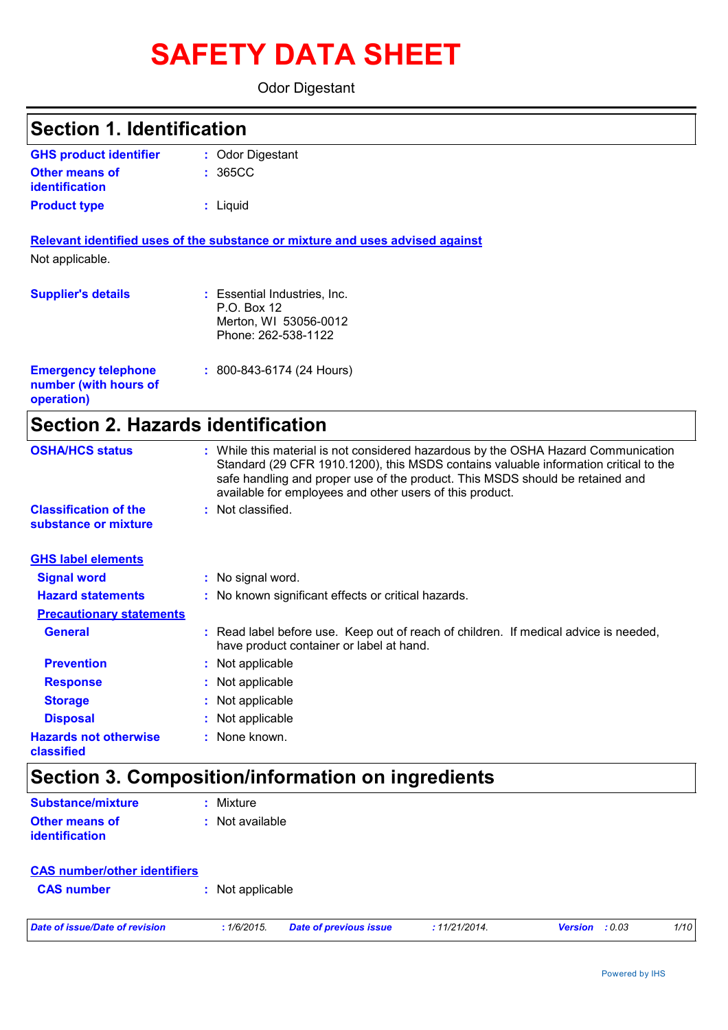# **SAFETY DATA SHEET**

Odor Digestant

| <b>Section 1. Identification</b>                                  |                                                                                                                                                                                                                                                                                                                         |
|-------------------------------------------------------------------|-------------------------------------------------------------------------------------------------------------------------------------------------------------------------------------------------------------------------------------------------------------------------------------------------------------------------|
| <b>GHS product identifier</b>                                     | : Odor Digestant                                                                                                                                                                                                                                                                                                        |
| <b>Other means of</b><br><b>identification</b>                    | 365CC                                                                                                                                                                                                                                                                                                                   |
| <b>Product type</b>                                               | : Liquid                                                                                                                                                                                                                                                                                                                |
|                                                                   | Relevant identified uses of the substance or mixture and uses advised against                                                                                                                                                                                                                                           |
| Not applicable.                                                   |                                                                                                                                                                                                                                                                                                                         |
| <b>Supplier's details</b>                                         | : Essential Industries, Inc.<br>P.O. Box 12<br>Merton, WI 53056-0012<br>Phone: 262-538-1122                                                                                                                                                                                                                             |
| <b>Emergency telephone</b><br>number (with hours of<br>operation) | $: 800 - 843 - 6174$ (24 Hours)                                                                                                                                                                                                                                                                                         |
| <b>Section 2. Hazards identification</b>                          |                                                                                                                                                                                                                                                                                                                         |
| <b>OSHA/HCS status</b>                                            | : While this material is not considered hazardous by the OSHA Hazard Communication<br>Standard (29 CFR 1910.1200), this MSDS contains valuable information critical to the<br>safe handling and proper use of the product. This MSDS should be retained and<br>available for employees and other users of this product. |
| <b>Classification of the</b><br>substance or mixture              | : Not classified.                                                                                                                                                                                                                                                                                                       |
| <b>GHS label elements</b>                                         |                                                                                                                                                                                                                                                                                                                         |
| <b>Signal word</b>                                                | : No signal word.                                                                                                                                                                                                                                                                                                       |
| <b>Hazard statements</b>                                          | : No known significant effects or critical hazards.                                                                                                                                                                                                                                                                     |
| <b>Precautionary statements</b>                                   |                                                                                                                                                                                                                                                                                                                         |
| <b>General</b>                                                    | : Read label before use. Keep out of reach of children. If medical advice is needed,<br>have product container or label at hand.                                                                                                                                                                                        |
| <b>Prevention</b>                                                 | Not applicable                                                                                                                                                                                                                                                                                                          |
| <b>Response</b>                                                   | Not applicable                                                                                                                                                                                                                                                                                                          |
| <b>Storage</b>                                                    | Not applicable                                                                                                                                                                                                                                                                                                          |
| <b>Disposal</b>                                                   | Not applicable                                                                                                                                                                                                                                                                                                          |
| <b>Hazards not otherwise</b><br>classified                        | : None known.                                                                                                                                                                                                                                                                                                           |
|                                                                   | <b>Section 3. Composition/information on ingredients</b>                                                                                                                                                                                                                                                                |
| <b>Substance/mixture</b>                                          | : Mixture                                                                                                                                                                                                                                                                                                               |
| <b>Other means of</b><br><b>identification</b>                    | : Not available                                                                                                                                                                                                                                                                                                         |

| <b>CAS number/other identifiers</b> |                  |  |
|-------------------------------------|------------------|--|
| <b>CAS number</b>                   | : Not applicable |  |
|                                     |                  |  |

*Date of issue/Date of revision* **:** *1/6/2015. Date of previous issue : 11/21/2014. Version : 0.03 1/10*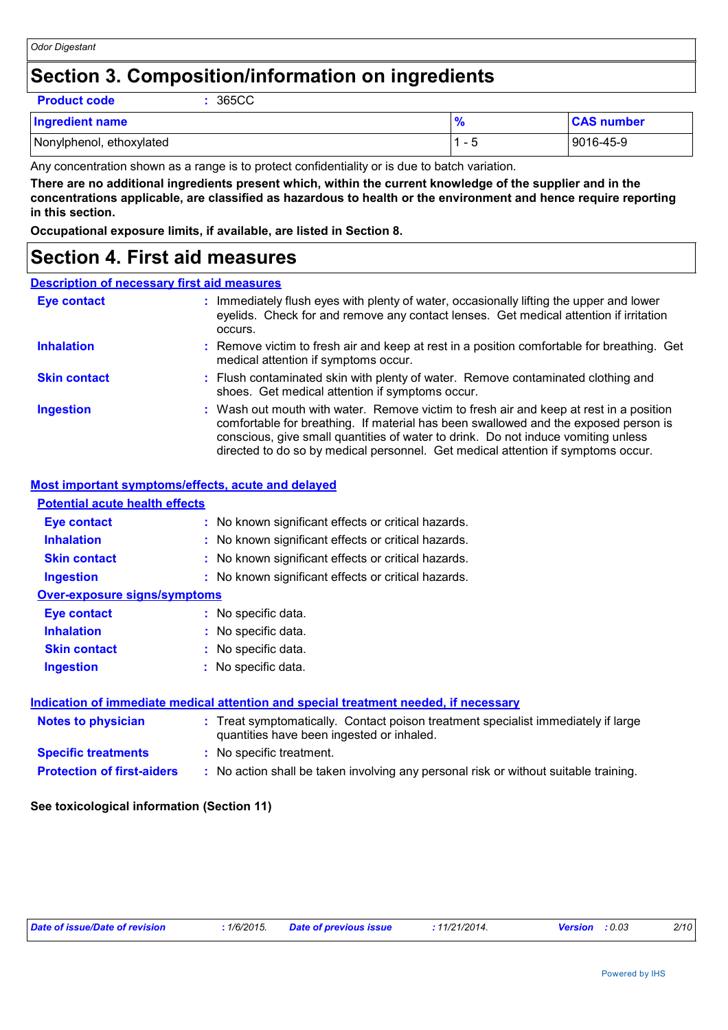## **Section 3. Composition/information on ingredients**

**Product code :** 365CC

| <b>Ingredient name</b>   |                          | <b>CAS number</b> |
|--------------------------|--------------------------|-------------------|
| Nonylphenol, ethoxylated | $\overline{\phantom{0}}$ | 9016-45-9         |

Any concentration shown as a range is to protect confidentiality or is due to batch variation.

**There are no additional ingredients present which, within the current knowledge of the supplier and in the concentrations applicable, are classified as hazardous to health or the environment and hence require reporting in this section.**

**Occupational exposure limits, if available, are listed in Section 8.**

## **Section 4. First aid measures**

### **Description of necessary first aid measures**

| <b>Eye contact</b>  | : Immediately flush eyes with plenty of water, occasionally lifting the upper and lower<br>eyelids. Check for and remove any contact lenses. Get medical attention if irritation<br>occurs.                                                                                                                                                            |
|---------------------|--------------------------------------------------------------------------------------------------------------------------------------------------------------------------------------------------------------------------------------------------------------------------------------------------------------------------------------------------------|
| <b>Inhalation</b>   | : Remove victim to fresh air and keep at rest in a position comfortable for breathing. Get<br>medical attention if symptoms occur.                                                                                                                                                                                                                     |
| <b>Skin contact</b> | : Flush contaminated skin with plenty of water. Remove contaminated clothing and<br>shoes. Get medical attention if symptoms occur.                                                                                                                                                                                                                    |
| <b>Ingestion</b>    | : Wash out mouth with water. Remove victim to fresh air and keep at rest in a position<br>comfortable for breathing. If material has been swallowed and the exposed person is<br>conscious, give small quantities of water to drink. Do not induce vomiting unless<br>directed to do so by medical personnel. Get medical attention if symptoms occur. |

### **Most important symptoms/effects, acute and delayed**

| <b>Potential acute health effects</b>                                                |                                                                                                                                |  |  |
|--------------------------------------------------------------------------------------|--------------------------------------------------------------------------------------------------------------------------------|--|--|
| Eye contact                                                                          | : No known significant effects or critical hazards.                                                                            |  |  |
| <b>Inhalation</b>                                                                    | : No known significant effects or critical hazards.                                                                            |  |  |
| <b>Skin contact</b>                                                                  | : No known significant effects or critical hazards.                                                                            |  |  |
| <b>Ingestion</b>                                                                     | : No known significant effects or critical hazards.                                                                            |  |  |
| <b>Over-exposure signs/symptoms</b>                                                  |                                                                                                                                |  |  |
| Eye contact                                                                          | : No specific data.                                                                                                            |  |  |
| <b>Inhalation</b>                                                                    | : No specific data.                                                                                                            |  |  |
| <b>Skin contact</b>                                                                  | : No specific data.                                                                                                            |  |  |
| <b>Ingestion</b>                                                                     | : No specific data.                                                                                                            |  |  |
| Indication of immediate medical attention and special treatment needed, if necessary |                                                                                                                                |  |  |
| Notes to physician                                                                   | : Treat symptomatically. Contact poison treatment specialist immediately if large<br>quantities have been ingested or inhaled. |  |  |
| <b>Specific treatments</b>                                                           | : No specific treatment.                                                                                                       |  |  |
| <b>Protection of first-aiders</b>                                                    | : No action shall be taken involving any personal risk or without suitable training.                                           |  |  |
|                                                                                      |                                                                                                                                |  |  |

### **See toxicological information (Section 11)**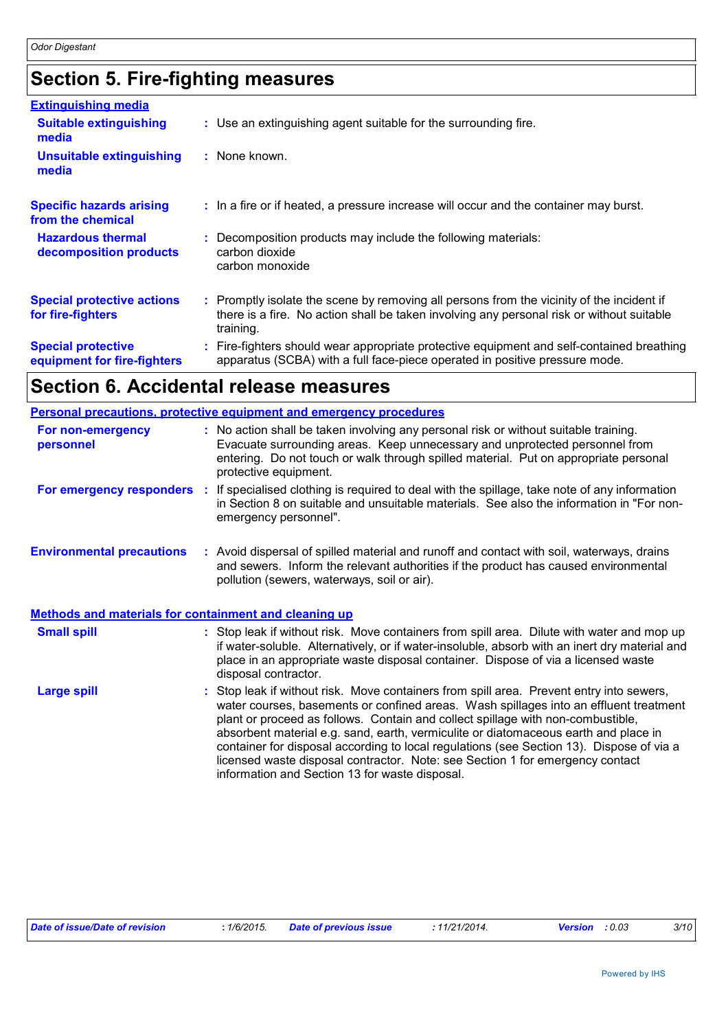## **Section 5. Fire-fighting measures**

| <b>Extinguishing media</b>                               |                                                                                                                                                                                                     |
|----------------------------------------------------------|-----------------------------------------------------------------------------------------------------------------------------------------------------------------------------------------------------|
| <b>Suitable extinguishing</b><br>media                   | : Use an extinguishing agent suitable for the surrounding fire.                                                                                                                                     |
| <b>Unsuitable extinguishing</b><br>media                 | : None known.                                                                                                                                                                                       |
| <b>Specific hazards arising</b><br>from the chemical     | : In a fire or if heated, a pressure increase will occur and the container may burst.                                                                                                               |
| <b>Hazardous thermal</b><br>decomposition products       | : Decomposition products may include the following materials:<br>carbon dioxide<br>carbon monoxide                                                                                                  |
| <b>Special protective actions</b><br>for fire-fighters   | : Promptly isolate the scene by removing all persons from the vicinity of the incident if<br>there is a fire. No action shall be taken involving any personal risk or without suitable<br>training. |
| <b>Special protective</b><br>equipment for fire-fighters | : Fire-fighters should wear appropriate protective equipment and self-contained breathing<br>apparatus (SCBA) with a full face-piece operated in positive pressure mode.                            |

## **Section 6. Accidental release measures**

|                                                              | Personal precautions, protective equipment and emergency procedures                                                                                                                                                                                                                                                                                                                                                                                                                                                                                                                      |  |  |
|--------------------------------------------------------------|------------------------------------------------------------------------------------------------------------------------------------------------------------------------------------------------------------------------------------------------------------------------------------------------------------------------------------------------------------------------------------------------------------------------------------------------------------------------------------------------------------------------------------------------------------------------------------------|--|--|
| For non-emergency<br>personnel                               | : No action shall be taken involving any personal risk or without suitable training.<br>Evacuate surrounding areas. Keep unnecessary and unprotected personnel from<br>entering. Do not touch or walk through spilled material. Put on appropriate personal<br>protective equipment.                                                                                                                                                                                                                                                                                                     |  |  |
| For emergency responders :                                   | If specialised clothing is required to deal with the spillage, take note of any information<br>in Section 8 on suitable and unsuitable materials. See also the information in "For non-<br>emergency personnel".                                                                                                                                                                                                                                                                                                                                                                         |  |  |
| <b>Environmental precautions</b>                             | : Avoid dispersal of spilled material and runoff and contact with soil, waterways, drains<br>and sewers. Inform the relevant authorities if the product has caused environmental<br>pollution (sewers, waterways, soil or air).                                                                                                                                                                                                                                                                                                                                                          |  |  |
| <b>Methods and materials for containment and cleaning up</b> |                                                                                                                                                                                                                                                                                                                                                                                                                                                                                                                                                                                          |  |  |
| <b>Small spill</b>                                           | : Stop leak if without risk. Move containers from spill area. Dilute with water and mop up<br>if water-soluble. Alternatively, or if water-insoluble, absorb with an inert dry material and<br>place in an appropriate waste disposal container. Dispose of via a licensed waste<br>disposal contractor.                                                                                                                                                                                                                                                                                 |  |  |
| <b>Large spill</b>                                           | Stop leak if without risk. Move containers from spill area. Prevent entry into sewers,<br>water courses, basements or confined areas. Wash spillages into an effluent treatment<br>plant or proceed as follows. Contain and collect spillage with non-combustible,<br>absorbent material e.g. sand, earth, vermiculite or diatomaceous earth and place in<br>container for disposal according to local regulations (see Section 13). Dispose of via a<br>licensed waste disposal contractor. Note: see Section 1 for emergency contact<br>information and Section 13 for waste disposal. |  |  |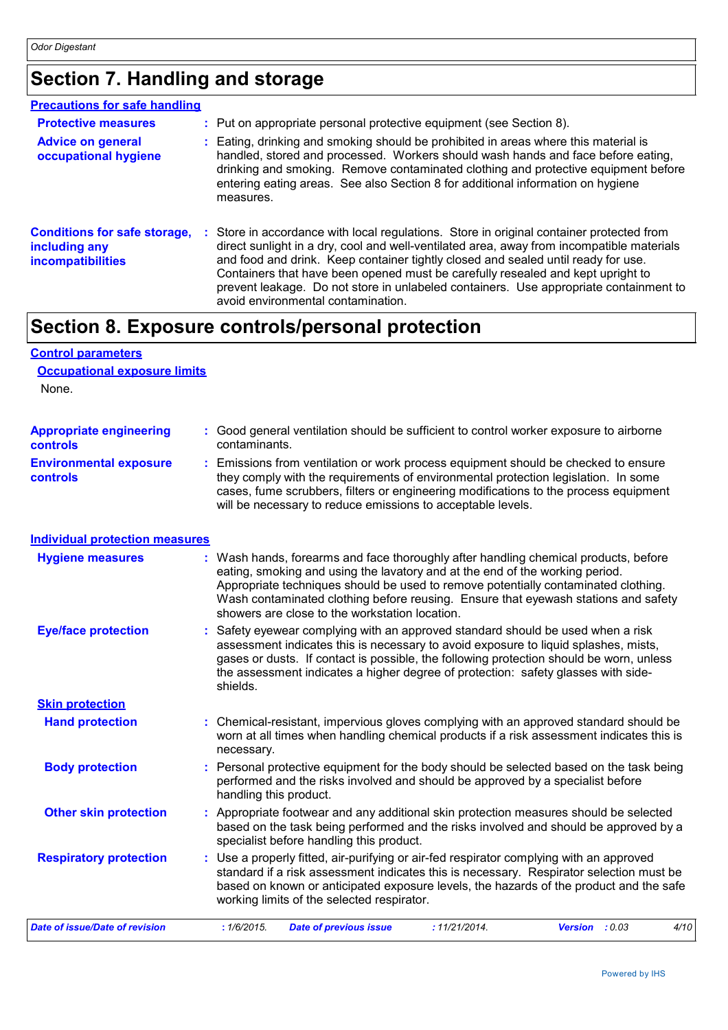## **Section 7. Handling and storage**

| <b>Precautions for safe handling</b>                                             |                                                                                                                                                                                                                                                                                                                                                                                                                                                                                              |
|----------------------------------------------------------------------------------|----------------------------------------------------------------------------------------------------------------------------------------------------------------------------------------------------------------------------------------------------------------------------------------------------------------------------------------------------------------------------------------------------------------------------------------------------------------------------------------------|
| <b>Protective measures</b>                                                       | : Put on appropriate personal protective equipment (see Section 8).                                                                                                                                                                                                                                                                                                                                                                                                                          |
| <b>Advice on general</b><br>occupational hygiene                                 | Eating, drinking and smoking should be prohibited in areas where this material is<br>handled, stored and processed. Workers should wash hands and face before eating,<br>drinking and smoking. Remove contaminated clothing and protective equipment before<br>entering eating areas. See also Section 8 for additional information on hygiene<br>measures.                                                                                                                                  |
| <b>Conditions for safe storage,</b><br>including any<br><b>incompatibilities</b> | : Store in accordance with local regulations. Store in original container protected from<br>direct sunlight in a dry, cool and well-ventilated area, away from incompatible materials<br>and food and drink. Keep container tightly closed and sealed until ready for use.<br>Containers that have been opened must be carefully resealed and kept upright to<br>prevent leakage. Do not store in unlabeled containers. Use appropriate containment to<br>avoid environmental contamination. |

## **Section 8. Exposure controls/personal protection**

## **Control parameters Occupational exposure limits**

None.

| <b>Appropriate engineering</b>                   | : Good general ventilation should be sufficient to control worker exposure to airborne                                                                                                                                                                                                                                          |
|--------------------------------------------------|---------------------------------------------------------------------------------------------------------------------------------------------------------------------------------------------------------------------------------------------------------------------------------------------------------------------------------|
| <b>controls</b>                                  | contaminants.                                                                                                                                                                                                                                                                                                                   |
| <b>Environmental exposure</b><br><b>controls</b> | : Emissions from ventilation or work process equipment should be checked to ensure<br>they comply with the requirements of environmental protection legislation. In some<br>cases, fume scrubbers, filters or engineering modifications to the process equipment<br>will be necessary to reduce emissions to acceptable levels. |

## **Individual protection measures**

| <b>Hygiene measures</b>        | : Wash hands, forearms and face thoroughly after handling chemical products, before<br>eating, smoking and using the lavatory and at the end of the working period.<br>Appropriate techniques should be used to remove potentially contaminated clothing.<br>Wash contaminated clothing before reusing. Ensure that eyewash stations and safety<br>showers are close to the workstation location. |  |
|--------------------------------|---------------------------------------------------------------------------------------------------------------------------------------------------------------------------------------------------------------------------------------------------------------------------------------------------------------------------------------------------------------------------------------------------|--|
| <b>Eye/face protection</b>     | : Safety eyewear complying with an approved standard should be used when a risk<br>assessment indicates this is necessary to avoid exposure to liquid splashes, mists,<br>gases or dusts. If contact is possible, the following protection should be worn, unless<br>the assessment indicates a higher degree of protection: safety glasses with side-<br>shields.                                |  |
| <b>Skin protection</b>         |                                                                                                                                                                                                                                                                                                                                                                                                   |  |
| <b>Hand protection</b>         | : Chemical-resistant, impervious gloves complying with an approved standard should be<br>worn at all times when handling chemical products if a risk assessment indicates this is<br>necessary.                                                                                                                                                                                                   |  |
| <b>Body protection</b>         | : Personal protective equipment for the body should be selected based on the task being<br>performed and the risks involved and should be approved by a specialist before<br>handling this product.                                                                                                                                                                                               |  |
| <b>Other skin protection</b>   | : Appropriate footwear and any additional skin protection measures should be selected<br>based on the task being performed and the risks involved and should be approved by a<br>specialist before handling this product.                                                                                                                                                                         |  |
| <b>Respiratory protection</b>  | : Use a properly fitted, air-purifying or air-fed respirator complying with an approved<br>standard if a risk assessment indicates this is necessary. Respirator selection must be<br>based on known or anticipated exposure levels, the hazards of the product and the safe<br>working limits of the selected respirator.                                                                        |  |
| Date of issue/Date of revision | : 1/6/2015.<br>: 11/21/2014.<br>4/10<br><b>Date of previous issue</b><br>Version : 0.03                                                                                                                                                                                                                                                                                                           |  |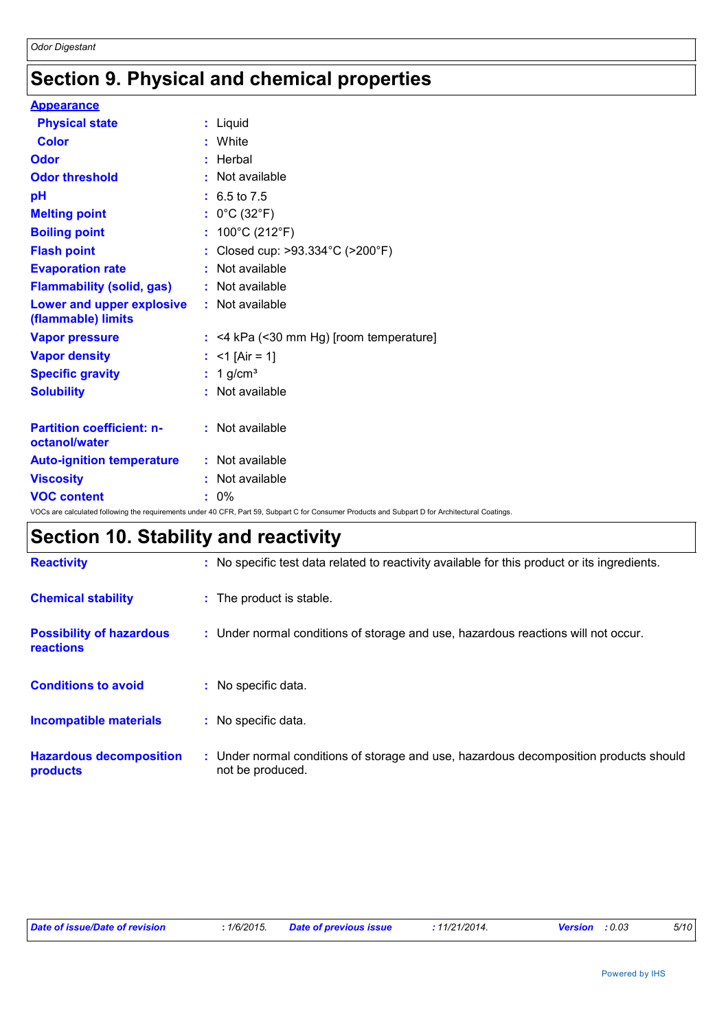## **Section 9. Physical and chemical properties**

| <b>Appearance</b>                                 |                                                                                                                                                 |
|---------------------------------------------------|-------------------------------------------------------------------------------------------------------------------------------------------------|
| <b>Physical state</b>                             | : Liquid                                                                                                                                        |
| <b>Color</b>                                      | : White                                                                                                                                         |
| <b>Odor</b>                                       | : Herbal                                                                                                                                        |
| <b>Odor threshold</b>                             | : Not available                                                                                                                                 |
| pH                                                | $: 6.5 \text{ to } 7.5$                                                                                                                         |
| <b>Melting point</b>                              | : $0^{\circ}$ C (32 $^{\circ}$ F)                                                                                                               |
| <b>Boiling point</b>                              | : $100^{\circ}$ C (212 $^{\circ}$ F)                                                                                                            |
| <b>Flash point</b>                                | : Closed cup: >93.334°C (>200°F)                                                                                                                |
| <b>Evaporation rate</b>                           | : Not available                                                                                                                                 |
| <b>Flammability (solid, gas)</b>                  | : Not available                                                                                                                                 |
| Lower and upper explosive<br>(flammable) limits   | : Not available                                                                                                                                 |
| <b>Vapor pressure</b>                             | $:$ <4 kPa (<30 mm Hg) [room temperature]                                                                                                       |
| <b>Vapor density</b>                              | : $<$ 1 [Air = 1]                                                                                                                               |
| <b>Specific gravity</b>                           | $: 1$ g/cm <sup>3</sup>                                                                                                                         |
| <b>Solubility</b>                                 | : Not available                                                                                                                                 |
| <b>Partition coefficient: n-</b><br>octanol/water | : Not available                                                                                                                                 |
| <b>Auto-ignition temperature</b>                  | : Not available                                                                                                                                 |
| <b>Viscosity</b>                                  | : Not available                                                                                                                                 |
| <b>VOC content</b>                                | $: 0\%$                                                                                                                                         |
|                                                   | VOCs are calculated following the requirements under 40 CFR, Part 59, Subpart C for Consumer Products and Subpart D for Architectural Coatings. |

## **Section 10. Stability and reactivity**

| <b>Reactivity</b>                            | : No specific test data related to reactivity available for this product or its ingredients.              |
|----------------------------------------------|-----------------------------------------------------------------------------------------------------------|
| <b>Chemical stability</b>                    | : The product is stable.                                                                                  |
| <b>Possibility of hazardous</b><br>reactions | : Under normal conditions of storage and use, hazardous reactions will not occur.                         |
| <b>Conditions to avoid</b>                   | : No specific data.                                                                                       |
| <b>Incompatible materials</b>                | : No specific data.                                                                                       |
| <b>Hazardous decomposition</b><br>products   | : Under normal conditions of storage and use, hazardous decomposition products should<br>not be produced. |

|  | Date of issue/Date of revision | 1/6/2015. | <b>Date of previous issue</b> | <sup>,</sup> 11/21/2014. | <b>Version</b> : 0.03 | 5/10 |
|--|--------------------------------|-----------|-------------------------------|--------------------------|-----------------------|------|
|--|--------------------------------|-----------|-------------------------------|--------------------------|-----------------------|------|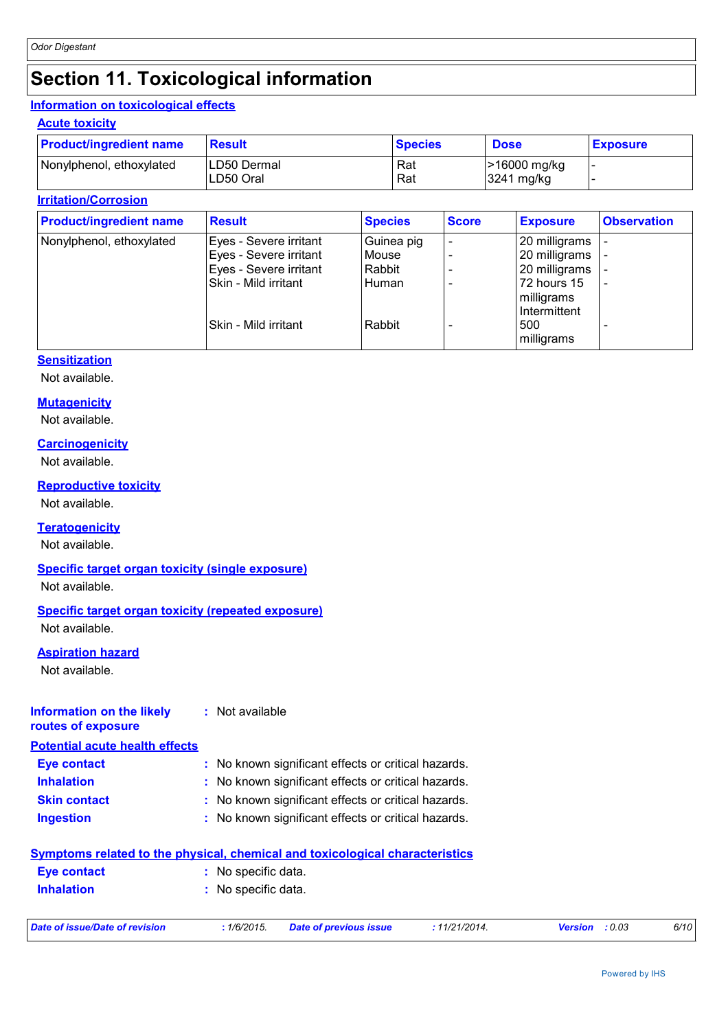## **Section 11. Toxicological information**

## **Information on toxicological effects**

### **Acute toxicity**

| <b>Product/ingredient name</b> | Result                   | <b>Species</b> | <b>Dose</b>                | <b>Exposure</b> |
|--------------------------------|--------------------------|----------------|----------------------------|-----------------|
| Nonylphenol, ethoxylated       | LD50 Dermal<br>LD50 Oral | Rat<br>Rat     | >16000 mg/kg<br>3241 mg/kg |                 |

### **Irritation/Corrosion**

| <b>Product/ingredient name</b> | <b>Result</b>          | <b>Species</b> | <b>Score</b> | <b>Exposure</b> | <b>Observation</b>       |
|--------------------------------|------------------------|----------------|--------------|-----------------|--------------------------|
| Nonylphenol, ethoxylated       | Eyes - Severe irritant | Guinea pig     |              | 20 milligrams   |                          |
|                                | Eyes - Severe irritant | Mouse          |              | 20 milligrams   |                          |
|                                | Eyes - Severe irritant | Rabbit         |              | 20 milligrams   |                          |
|                                | Skin - Mild irritant   | Human          |              | 72 hours 15     | $\overline{\phantom{a}}$ |
|                                |                        |                |              | milligrams      |                          |
|                                |                        |                |              | Intermittent    |                          |
|                                | Skin - Mild irritant   | Rabbit         |              | 500             |                          |
|                                |                        |                |              | milligrams      |                          |

### **Sensitization**

Not available.

### **Mutagenicity**

Not available.

### **Carcinogenicity**

Not available.

### **Reproductive toxicity**

Not available.

## **Teratogenicity**

Not available.

## **Specific target organ toxicity (single exposure)**

Not available.

## **Specific target organ toxicity (repeated exposure)**

Not available.

### **Aspiration hazard**

Not available.

### **Information on the likely routes of exposure :** Not available

**Potential acute health effects**

| Eye contact         | : No known significant effects or critical hazards. |
|---------------------|-----------------------------------------------------|
| <b>Inhalation</b>   | : No known significant effects or critical hazards. |
| <b>Skin contact</b> | : No known significant effects or critical hazards. |
| <b>Ingestion</b>    | : No known significant effects or critical hazards. |

## **Symptoms related to the physical, chemical and toxicological characteristics Inhalation :** No specific data. **Eye contact :** No specific data. *Date of issue/Date of revision* **:** *1/6/2015. Date of previous issue : 11/21/2014. Version : 0.03 6/10*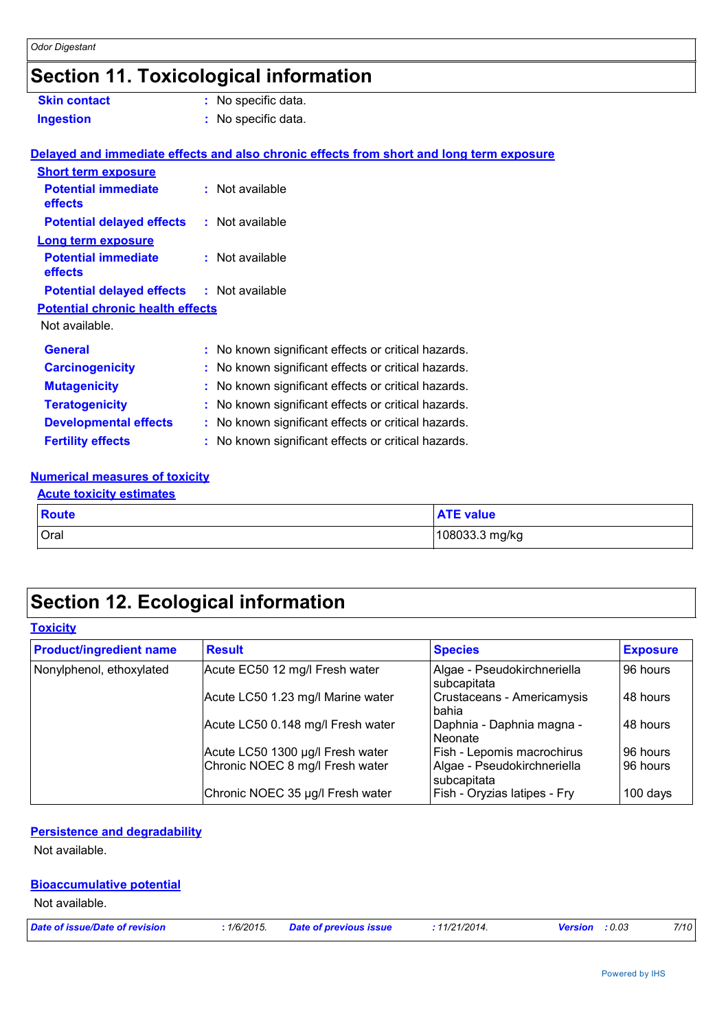## **Section 11. Toxicological information**

| <b>Skin contact</b>                              | : No specific data.                                                                      |
|--------------------------------------------------|------------------------------------------------------------------------------------------|
| <b>Ingestion</b>                                 | : No specific data.                                                                      |
|                                                  | Delayed and immediate effects and also chronic effects from short and long term exposure |
| <b>Short term exposure</b>                       |                                                                                          |
| <b>Potential immediate</b><br>effects            | : Not available                                                                          |
| <b>Potential delayed effects</b>                 | : Not available                                                                          |
| <b>Long term exposure</b>                        |                                                                                          |
| <b>Potential immediate</b><br>effects            | : Not available                                                                          |
| <b>Potential delayed effects : Not available</b> |                                                                                          |
| <b>Potential chronic health effects</b>          |                                                                                          |
| Not available.                                   |                                                                                          |
| <b>General</b>                                   | : No known significant effects or critical hazards.                                      |
| <b>Carcinogenicity</b>                           | : No known significant effects or critical hazards.                                      |
| <b>Mutagenicity</b>                              | : No known significant effects or critical hazards.                                      |
| <b>Teratogenicity</b>                            | : No known significant effects or critical hazards.                                      |
| <b>Developmental effects</b>                     | : No known significant effects or critical hazards.                                      |
| <b>Fertility effects</b>                         | : No known significant effects or critical hazards.                                      |
|                                                  |                                                                                          |

## **Numerical measures of toxicity**

## Oral 108033.3 mg/kg **Route ATE value Acute toxicity estimates**

## **Section 12. Ecological information**

| <b>Toxicity</b> |
|-----------------|
|-----------------|

| <b>Product/ingredient name</b> | <b>Result</b>                     | <b>Species</b>                             | <b>Exposure</b> |
|--------------------------------|-----------------------------------|--------------------------------------------|-----------------|
| Nonylphenol, ethoxylated       | Acute EC50 12 mg/l Fresh water    | Algae - Pseudokirchneriella<br>subcapitata | 96 hours        |
|                                | Acute LC50 1.23 mg/l Marine water | Crustaceans - Americamysis<br>bahia        | 48 hours        |
|                                | Acute LC50 0.148 mg/l Fresh water | Daphnia - Daphnia magna -<br>Neonate       | 48 hours        |
|                                | Acute LC50 1300 µg/l Fresh water  | Fish - Lepomis macrochirus                 | 96 hours        |
|                                | Chronic NOEC 8 mg/l Fresh water   | Algae - Pseudokirchneriella<br>subcapitata | 96 hours        |
|                                | Chronic NOEC 35 µg/l Fresh water  | Fish - Oryzias latipes - Fry               | 100 days        |

## **Persistence and degradability**

Not available.

## **Bioaccumulative potential**

Not available.

| Date of issue/Date of revision | : 1/6/2015. Date of previous issue | .11/21/2014. | <b>Version</b> : 0.03 | 7/10 |
|--------------------------------|------------------------------------|--------------|-----------------------|------|
|                                |                                    |              |                       |      |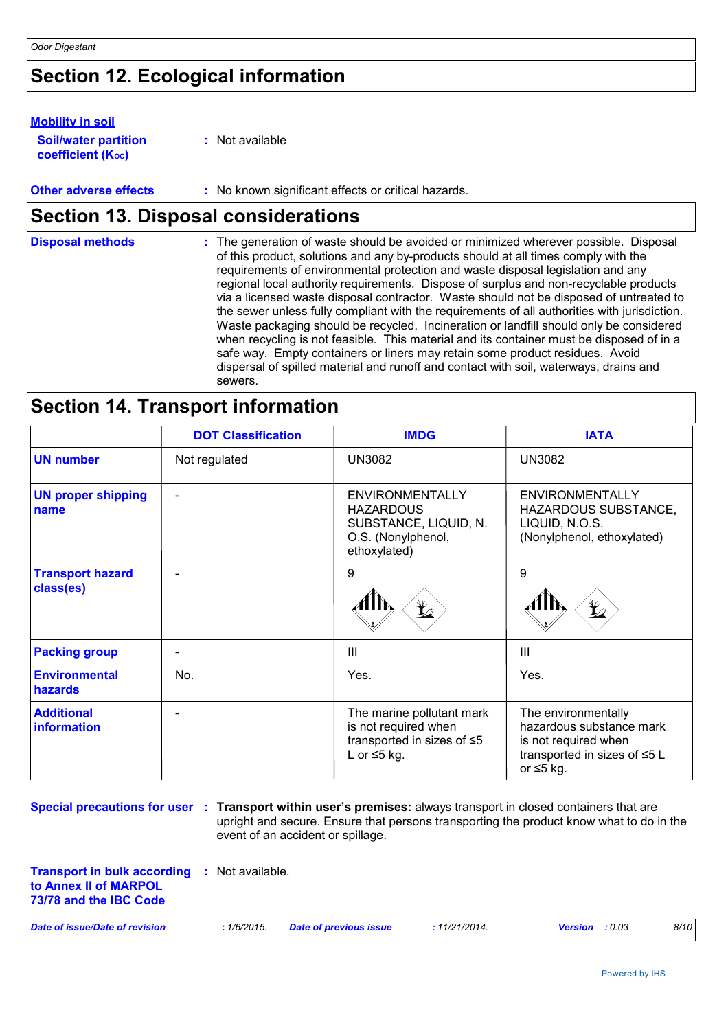## **Section 12. Ecological information**

### **Mobility in soil**

| <b>Soil/water partition</b>    | : Not available |
|--------------------------------|-----------------|
| coefficient (K <sub>oc</sub> ) |                 |

**Other adverse effects** : No known significant effects or critical hazards.

## **Section 13. Disposal considerations**

| <b>Disposal methods</b> | : The generation of waste should be avoided or minimized wherever possible. Disposal<br>of this product, solutions and any by-products should at all times comply with the<br>requirements of environmental protection and waste disposal legislation and any<br>regional local authority requirements. Dispose of surplus and non-recyclable products<br>via a licensed waste disposal contractor. Waste should not be disposed of untreated to<br>the sewer unless fully compliant with the requirements of all authorities with jurisdiction.<br>Waste packaging should be recycled. Incineration or landfill should only be considered<br>when recycling is not feasible. This material and its container must be disposed of in a<br>safe way. Empty containers or liners may retain some product residues. Avoid<br>dispersal of spilled material and runoff and contact with soil, waterways, drains and |
|-------------------------|-----------------------------------------------------------------------------------------------------------------------------------------------------------------------------------------------------------------------------------------------------------------------------------------------------------------------------------------------------------------------------------------------------------------------------------------------------------------------------------------------------------------------------------------------------------------------------------------------------------------------------------------------------------------------------------------------------------------------------------------------------------------------------------------------------------------------------------------------------------------------------------------------------------------|
|                         | sewers.                                                                                                                                                                                                                                                                                                                                                                                                                                                                                                                                                                                                                                                                                                                                                                                                                                                                                                         |

## **Section 14. Transport information**

|                                        | <b>DOT Classification</b> | <b>IMDG</b>                                                                                               | <b>IATA</b>                                                                                                                |
|----------------------------------------|---------------------------|-----------------------------------------------------------------------------------------------------------|----------------------------------------------------------------------------------------------------------------------------|
| <b>UN number</b>                       | Not regulated             | <b>UN3082</b>                                                                                             | <b>UN3082</b>                                                                                                              |
| <b>UN proper shipping</b><br>name      |                           | <b>ENVIRONMENTALLY</b><br><b>HAZARDOUS</b><br>SUBSTANCE, LIQUID, N.<br>O.S. (Nonylphenol,<br>ethoxylated) | <b>ENVIRONMENTALLY</b><br>HAZARDOUS SUBSTANCE,<br>LIQUID, N.O.S.<br>(Nonylphenol, ethoxylated)                             |
| <b>Transport hazard</b><br>class(es)   |                           | 9<br>⋭                                                                                                    | 9                                                                                                                          |
| <b>Packing group</b>                   | $\overline{\phantom{a}}$  | Ш                                                                                                         | III                                                                                                                        |
| <b>Environmental</b><br><b>hazards</b> | No.                       | Yes.                                                                                                      | Yes.                                                                                                                       |
| <b>Additional</b><br>information       | $\overline{\phantom{0}}$  | The marine pollutant mark<br>is not required when<br>transported in sizes of ≤5<br>L or $\leq$ 5 kg.      | The environmentally<br>hazardous substance mark<br>is not required when<br>transported in sizes of ≤5 L<br>or $\leq 5$ kg. |

**Special precautions for user : Transport within user's premises: always transport in closed containers that are** upright and secure. Ensure that persons transporting the product know what to do in the event of an accident or spillage.

**Transport in bulk according :** Not available. **to Annex II of MARPOL 73/78 and the IBC Code**

| Date of issue/Date of revision<br>: 1/6/2015. | <b>Date of previous issue</b> | .11/21/2014. | <b>Version</b> : 0.03 | 8/10 |
|-----------------------------------------------|-------------------------------|--------------|-----------------------|------|
|-----------------------------------------------|-------------------------------|--------------|-----------------------|------|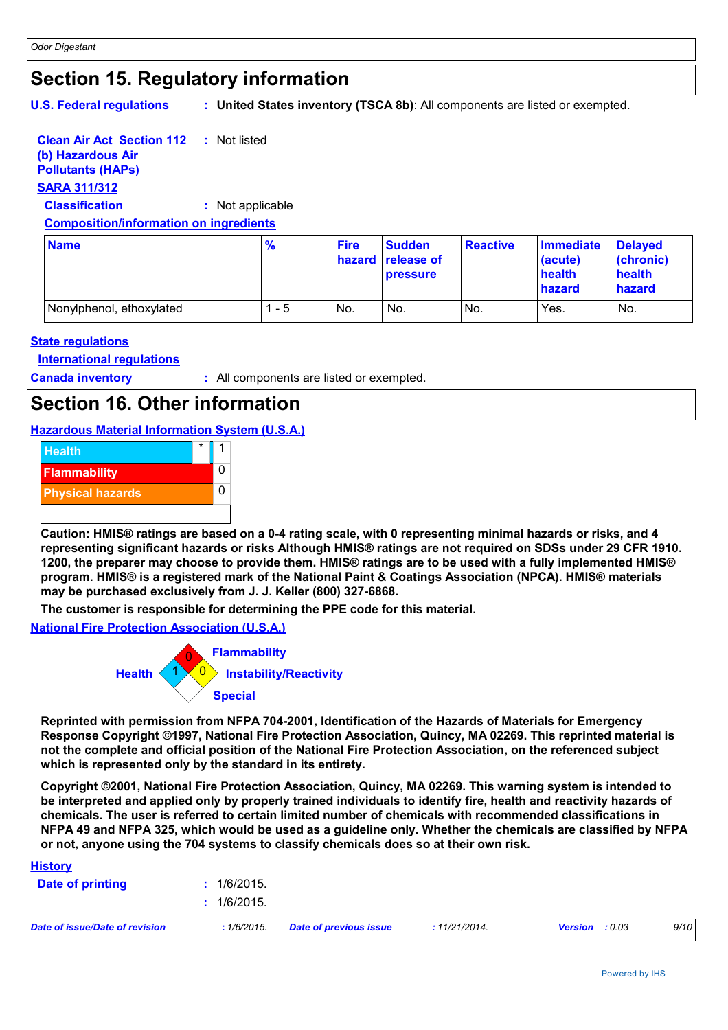## **Section 15. Regulatory information**

**U.S. Federal regulations :**

**United States inventory (TSCA 8b)**: All components are listed or exempted.

#### **Clean Air Act Section 112 :** Not listed

### **(b) Hazardous Air Pollutants (HAPs)**

## **SARA 311/312**

**Classification :** Not applicable

### **Composition/information on ingredients**

| <b>Name</b>              | $\frac{9}{6}$ | <b>Fire</b> | <b>Sudden</b><br><b>hazard release of</b><br><b>pressure</b> | <b>Reactive</b> | <b>Immediate</b><br>(acute)<br>health<br>hazard | <b>Delaved</b><br>(chronic)<br>health<br>hazard |
|--------------------------|---------------|-------------|--------------------------------------------------------------|-----------------|-------------------------------------------------|-------------------------------------------------|
| Nonylphenol, ethoxylated | - 5           | No.         | No.                                                          | No.             | Yes.                                            | No.                                             |

## **State regulations**

**International regulations**

**Canada inventory :** All components are listed or exempted.

## **Section 16. Other information**

**Hazardous Material Information System (U.S.A.)**



**Caution: HMIS® ratings are based on a 0-4 rating scale, with 0 representing minimal hazards or risks, and 4 representing significant hazards or risks Although HMIS® ratings are not required on SDSs under 29 CFR 1910. 1200, the preparer may choose to provide them. HMIS® ratings are to be used with a fully implemented HMIS® program. HMIS® is a registered mark of the National Paint & Coatings Association (NPCA). HMIS® materials may be purchased exclusively from J. J. Keller (800) 327-6868.**

**The customer is responsible for determining the PPE code for this material.**

**National Fire Protection Association (U.S.A.)**



**Reprinted with permission from NFPA 704-2001, Identification of the Hazards of Materials for Emergency Response Copyright ©1997, National Fire Protection Association, Quincy, MA 02269. This reprinted material is not the complete and official position of the National Fire Protection Association, on the referenced subject which is represented only by the standard in its entirety.**

**Copyright ©2001, National Fire Protection Association, Quincy, MA 02269. This warning system is intended to be interpreted and applied only by properly trained individuals to identify fire, health and reactivity hazards of chemicals. The user is referred to certain limited number of chemicals with recommended classifications in NFPA 49 and NFPA 325, which would be used as a guideline only. Whether the chemicals are classified by NFPA or not, anyone using the 704 systems to classify chemicals does so at their own risk.**

### **History**

| Date of printing               | 1/6/2015.<br>: 1/6/2015. |                        |              |                   |      |
|--------------------------------|--------------------------|------------------------|--------------|-------------------|------|
| Date of issue/Date of revision | :1/6/2015.               | Date of previous issue | :11/21/2014. | Version<br>: 0.03 | 9/10 |